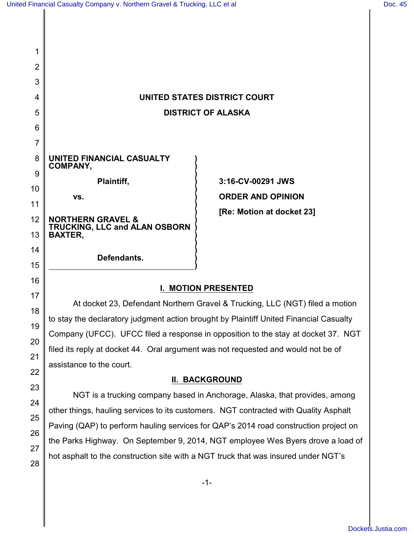17

18

19

20

21

22

23

24

25

26

27

28

| 1              |                                                        |                           |
|----------------|--------------------------------------------------------|---------------------------|
| $\overline{2}$ |                                                        |                           |
| 3              |                                                        |                           |
| 4              | UNITED STATES DISTRICT COURT                           |                           |
| 5              | <b>DISTRICT OF ALASKA</b>                              |                           |
| 6              |                                                        |                           |
| 7              |                                                        |                           |
| 8              | UNITED FINANCIAL CASUALTY                              |                           |
| 9              | <b>COMPANY,</b>                                        | 3:16-CV-00291 JWS         |
| 10             | Plaintiff,                                             |                           |
| 11             | VS.                                                    | <b>ORDER AND OPINION</b>  |
| 12             | <b>NORTHERN GRAVEL &amp;</b>                           | [Re: Motion at docket 23] |
| 13             | <b>TRUCKING, LLC and ALAN OSBORN</b><br><b>BAXTER,</b> |                           |
| 14             |                                                        |                           |
| 15             | Defendants.                                            |                           |
| 16             |                                                        |                           |

# **I. MOTION PRESENTED**

At docket 23, Defendant Northern Gravel & Trucking, LLC (NGT) filed a motion to stay the declaratory judgment action brought by Plaintiff United Financial Casualty Company (UFCC). UFCC filed a response in opposition to the stay at docket 37. NGT filed its reply at docket 44. Oral argument was not requested and would not be of assistance to the court.

## **II. BACKGROUND**

NGT is a trucking company based in Anchorage, Alaska, that provides, among other things, hauling services to its customers. NGT contracted with Quality Asphalt Paving (QAP) to perform hauling services for QAP's 2014 road construction project on the Parks Highway. On September 9, 2014, NGT employee Wes Byers drove a load of hot asphalt to the construction site with a NGT truck that was insured under NGT's

-1-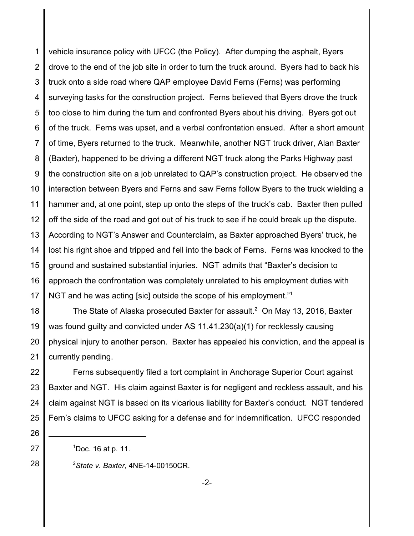1 2 3 4 5 6 7 8 9 10 11 12 13 14 15 16 17 vehicle insurance policy with UFCC (the Policy). After dumping the asphalt, Byers drove to the end of the job site in order to turn the truck around. Byers had to back his truck onto a side road where QAP employee David Ferns (Ferns) was performing surveying tasks for the construction project. Ferns believed that Byers drove the truck too close to him during the turn and confronted Byers about his driving. Byers got out of the truck. Ferns was upset, and a verbal confrontation ensued. After a short amount of time, Byers returned to the truck. Meanwhile, another NGT truck driver, Alan Baxter (Baxter), happened to be driving a different NGT truck along the Parks Highway past the construction site on a job unrelated to QAP's construction project. He observ ed the interaction between Byers and Ferns and saw Ferns follow Byers to the truck wielding a hammer and, at one point, step up onto the steps of the truck's cab. Baxter then pulled off the side of the road and got out of his truck to see if he could break up the dispute. According to NGT's Answer and Counterclaim, as Baxter approached Byers' truck, he lost his right shoe and tripped and fell into the back of Ferns. Ferns was knocked to the ground and sustained substantial injuries. NGT admits that "Baxter's decision to approach the confrontation was completely unrelated to his employment duties with NGT and he was acting [sic] outside the scope of his employment."<sup>1</sup>

18 19 20 21 The State of Alaska prosecuted Baxter for assault. $^2$  On May 13, 2016, Baxter was found guilty and convicted under AS 11.41.230(a)(1) for recklessly causing physical injury to another person. Baxter has appealed his conviction, and the appeal is currently pending.

22 23 24 25 Ferns subsequently filed a tort complaint in Anchorage Superior Court against Baxter and NGT. His claim against Baxter is for negligent and reckless assault, and his claim against NGT is based on its vicarious liability for Baxter's conduct. NGT tendered Fern's claims to UFCC asking for a defense and for indemnification. UFCC responded

 $1$ Doc. 16 at p. 11.

26

27

28

<sup>2</sup>*State v. Baxter*, 4NE-14-00150CR.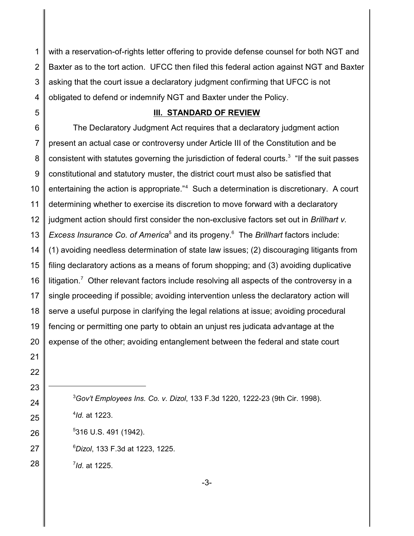with a reservation-of-rights letter offering to provide defense counsel for both NGT and Baxter as to the tort action. UFCC then filed this federal action against NGT and Baxter asking that the court issue a declaratory judgment confirming that UFCC is not obligated to defend or indemnify NGT and Baxter under the Policy.

#### **III. STANDARD OF REVIEW**

 The Declaratory Judgment Act requires that a declaratory judgment action present an actual case or controversy under Article III of the Constitution and be consistent with statutes governing the jurisdiction of federal courts.<sup>3</sup> "If the suit passes constitutional and statutory muster, the district court must also be satisfied that entertaining the action is appropriate."<sup>4</sup> Such a determination is discretionary. A court determining whether to exercise its discretion to move forward with a declaratory judgment action should first consider the non-exclusive factors set out in *Brillhart v.* Excess Insurance Co. of America<sup>5</sup> and its progeny.<sup>6</sup> The Brillhart factors include: (1) avoiding needless determination of state law issues; (2) discouraging litigants from filing declaratory actions as a means of forum shopping; and (3) avoiding duplicative litigation.<sup>7</sup> Other relevant factors include resolving all aspects of the controversy in a single proceeding if possible; avoiding intervention unless the declaratory action will serve a useful purpose in clarifying the legal relations at issue; avoiding procedural fencing or permitting one party to obtain an unjust res judicata advantage at the expense of the other; avoiding entanglement between the federal and state court

*Gov't Employees Ins. Co. v. Dizol*, 133 F.3d 1220, 1222-23 (9th Cir. 1998). *Id.* at 1223. 316 U.S. 491 (1942). *Dizol*, 133 F.3d at 1223, 1225. *Id*. at 1225.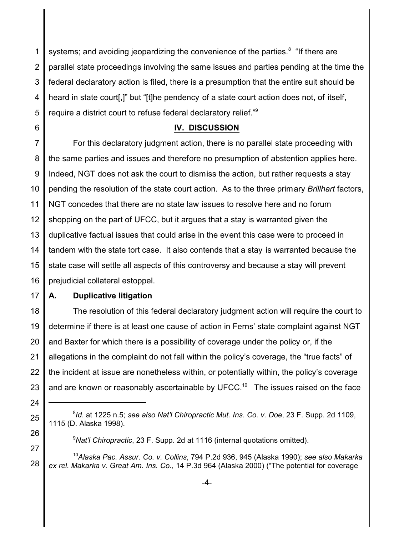1 2 3 4 5 systems; and avoiding jeopardizing the convenience of the parties.<sup>8</sup> "If there are parallel state proceedings involving the same issues and parties pending at the time the federal declaratory action is filed, there is a presumption that the entire suit should be heard in state court[,]" but "[t]he pendency of a state court action does not, of itself, require a district court to refuse federal declaratory relief."<sup>9</sup>

### **IV. DISCUSSION**

7 8 9 10 11 12 13 14 15 16 For this declaratory judgment action, there is no parallel state proceeding with the same parties and issues and therefore no presumption of abstention applies here. Indeed, NGT does not ask the court to dismiss the action, but rather requests a stay pending the resolution of the state court action. As to the three primary *Brillhart* factors, NGT concedes that there are no state law issues to resolve here and no forum shopping on the part of UFCC, but it argues that a stay is warranted given the duplicative factual issues that could arise in the event this case were to proceed in tandem with the state tort case. It also contends that a stay is warranted because the state case will settle all aspects of this controversy and because a stay will prevent prejudicial collateral estoppel.

17

24

25

26

27

6

#### **A. Duplicative litigation**

18 19 20 21 22 23 The resolution of this federal declaratory judgment action will require the court to determine if there is at least one cause of action in Ferns' state complaint against NGT and Baxter for which there is a possibility of coverage under the policy or, if the allegations in the complaint do not fall within the policy's coverage, the "true facts" of the incident at issue are nonetheless within, or potentially within, the policy's coverage and are known or reasonably ascertainable by UFCC.<sup>10</sup> The issues raised on the face

<sup>8</sup> *Id*. at 1225 n.5; *see also Nat'l Chiropractic Mut. Ins. Co. v. Doe*, 23 F. Supp. 2d 1109, 1115 (D. Alaska 1998).

<sup>9</sup>*Nat'l Chiropractic*, 23 F. Supp. 2d at 1116 (internal quotations omitted).

<sup>28</sup> <sup>10</sup>*Alaska Pac. Assur. Co. v. Collins*, 794 P.2d 936, 945 (Alaska 1990); *see also Makarka ex rel. Makarka v. Great Am. Ins. Co.*, 14 P.3d 964 (Alaska 2000) ("The potential for coverage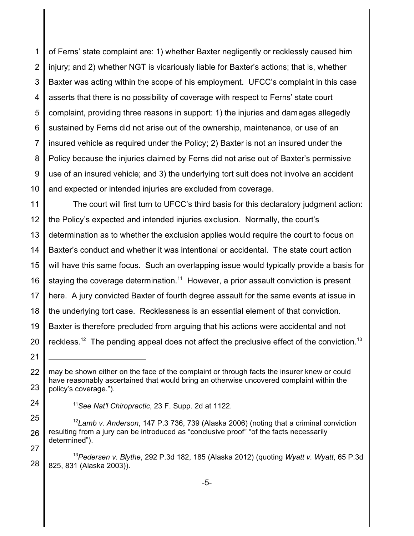1 2 3 4 5 6 7 8 9 10 of Ferns' state complaint are: 1) whether Baxter negligently or recklessly caused him injury; and 2) whether NGT is vicariously liable for Baxter's actions; that is, whether Baxter was acting within the scope of his employment. UFCC's complaint in this case asserts that there is no possibility of coverage with respect to Ferns' state court complaint, providing three reasons in support: 1) the injuries and damages allegedly sustained by Ferns did not arise out of the ownership, maintenance, or use of an insured vehicle as required under the Policy; 2) Baxter is not an insured under the Policy because the injuries claimed by Ferns did not arise out of Baxter's permissive use of an insured vehicle; and 3) the underlying tort suit does not involve an accident and expected or intended injuries are excluded from coverage.

11 12 13 14 15 16 17 18 19 20 The court will first turn to UFCC's third basis for this declaratory judgment action: the Policy's expected and intended injuries exclusion. Normally, the court's determination as to whether the exclusion applies would require the court to focus on Baxter's conduct and whether it was intentional or accidental. The state court action will have this same focus. Such an overlapping issue would typically provide a basis for staying the coverage determination. $^{11}$  However, a prior assault conviction is present here. A jury convicted Baxter of fourth degree assault for the same events at issue in the underlying tort case. Recklessness is an essential element of that conviction. Baxter is therefore precluded from arguing that his actions were accidental and not reckless.<sup>12</sup> The pending appeal does not affect the preclusive effect of the conviction.<sup>13</sup>

24

- <sup>11</sup>*See Nat'l Chiropractic*, 23 F. Supp. 2d at 1122.
- 25 26 27 <sup>12</sup>*Lamb v. Anderson*, 147 P.3 736, 739 (Alaska 2006) (noting that a criminal conviction resulting from a jury can be introduced as "conclusive proof" "of the facts necessarily determined").

<sup>21</sup> 22

<sup>23</sup> may be shown either on the face of the complaint or through facts the insurer knew or could have reasonably ascertained that would bring an otherwise uncovered complaint within the policy's coverage.").

<sup>28</sup> <sup>13</sup>*Pedersen v. Blythe*, 292 P.3d 182, 185 (Alaska 2012) (quoting *Wyatt v. Wyatt*, 65 P.3d 825, 831 (Alaska 2003)).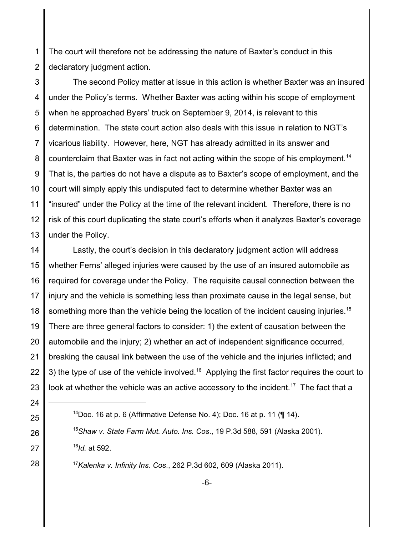1 2 The court will therefore not be addressing the nature of Baxter's conduct in this declaratory judgment action.

3 4 5 6 7 8 9 10 11 12 13 The second Policy matter at issue in this action is whether Baxter was an insured under the Policy's terms. Whether Baxter was acting within his scope of employment when he approached Byers' truck on September 9, 2014, is relevant to this determination. The state court action also deals with this issue in relation to NGT's vicarious liability. However, here, NGT has already admitted in its answer and counterclaim that Baxter was in fact not acting within the scope of his employment.<sup>14</sup> That is, the parties do not have a dispute as to Baxter's scope of employment, and the court will simply apply this undisputed fact to determine whether Baxter was an "insured" under the Policy at the time of the relevant incident. Therefore, there is no risk of this court duplicating the state court's efforts when it analyzes Baxter's coverage under the Policy.

14 15 16 17 18 19 20 21 22 23 Lastly, the court's decision in this declaratory judgment action will address whether Ferns' alleged injuries were caused by the use of an insured automobile as required for coverage under the Policy. The requisite causal connection between the injury and the vehicle is something less than proximate cause in the legal sense, but something more than the vehicle being the location of the incident causing injuries.<sup>15</sup> There are three general factors to consider: 1) the extent of causation between the automobile and the injury; 2) whether an act of independent significance occurred, breaking the causal link between the use of the vehicle and the injuries inflicted; and 3) the type of use of the vehicle involved.<sup>16</sup> Applying the first factor requires the court to look at whether the vehicle was an active accessory to the incident.<sup>17</sup> The fact that a

- <sup>14</sup>Doc. 16 at p. 6 (Affirmative Defense No. 4); Doc. 16 at p. 11 ( $\P$  14). <sup>15</sup>*Shaw v. State Farm Mut. Auto. Ins. Cos*., 19 P.3d 588, 591 (Alaska 2001). 16 *Id.* at 592.
- <sup>17</sup>*Kalenka v. Infinity Ins. Cos*., 262 P.3d 602, 609 (Alaska 2011).

24

25

26

27

28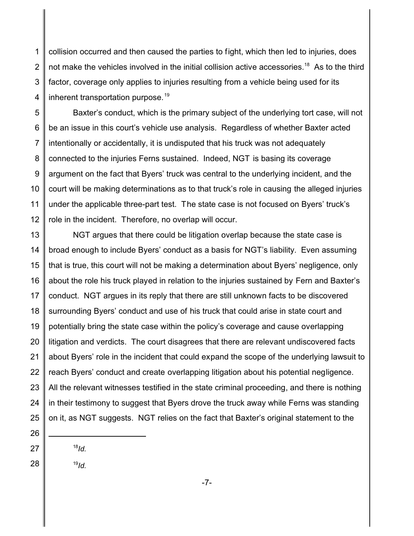1 2 3 4 collision occurred and then caused the parties to fight, which then led to injuries, does not make the vehicles involved in the initial collision active accessories.<sup>18</sup> As to the third factor, coverage only applies to injuries resulting from a vehicle being used for its inherent transportation purpose.<sup>19</sup>

5 6 7 8 9 10 11 12 Baxter's conduct, which is the primary subject of the underlying tort case, will not be an issue in this court's vehicle use analysis. Regardless of whether Baxter acted intentionally or accidentally, it is undisputed that his truck was not adequately connected to the injuries Ferns sustained. Indeed, NGT is basing its coverage argument on the fact that Byers' truck was central to the underlying incident, and the court will be making determinations as to that truck's role in causing the alleged injuries under the applicable three-part test. The state case is not focused on Byers' truck's role in the incident. Therefore, no overlap will occur.

13 14 15 16 17 18 19 20 21 22 23 24 25 NGT argues that there could be litigation overlap because the state case is broad enough to include Byers' conduct as a basis for NGT's liability. Even assuming that is true, this court will not be making a determination about Byers' negligence, only about the role his truck played in relation to the injuries sustained by Fern and Baxter's conduct. NGT argues in its reply that there are still unknown facts to be discovered surrounding Byers' conduct and use of his truck that could arise in state court and potentially bring the state case within the policy's coverage and cause overlapping litigation and verdicts. The court disagrees that there are relevant undiscovered facts about Byers' role in the incident that could expand the scope of the underlying lawsuit to reach Byers' conduct and create overlapping litigation about his potential negligence. All the relevant witnesses testified in the state criminal proceeding, and there is nothing in their testimony to suggest that Byers drove the truck away while Ferns was standing on it, as NGT suggests. NGT relies on the fact that Baxter's original statement to the

26 27

28

18 *Id.*

19 *Id.*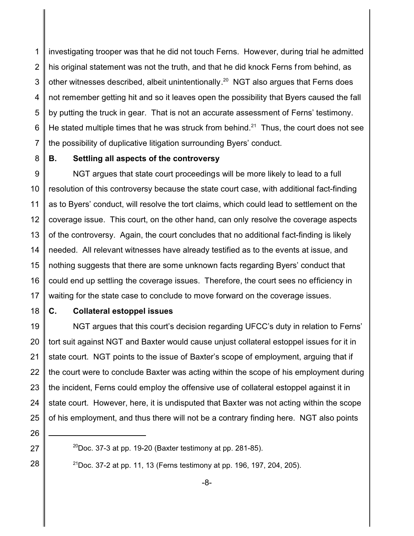1 2 3 4 5 6 7 investigating trooper was that he did not touch Ferns. However, during trial he admitted his original statement was not the truth, and that he did knock Ferns from behind, as other witnesses described, albeit unintentionally. $^{20}$  NGT also argues that Ferns does not remember getting hit and so it leaves open the possibility that Byers caused the fall by putting the truck in gear. That is not an accurate assessment of Ferns' testimony. He stated multiple times that he was struck from behind. $^{21}$  Thus, the court does not see the possibility of duplicative litigation surrounding Byers' conduct.

8

## **B. Settling all aspects of the controversy**

9 10 11 12 13 14 15 16 17 NGT argues that state court proceedings will be more likely to lead to a full resolution of this controversy because the state court case, with additional fact-finding as to Byers' conduct, will resolve the tort claims, which could lead to settlement on the coverage issue. This court, on the other hand, can only resolve the coverage aspects of the controversy. Again, the court concludes that no additional fact-finding is likely needed. All relevant witnesses have already testified as to the events at issue, and nothing suggests that there are some unknown facts regarding Byers' conduct that could end up settling the coverage issues. Therefore, the court sees no efficiency in waiting for the state case to conclude to move forward on the coverage issues.

18

### **C. Collateral estoppel issues**

19 20 21 22 23 24 25 NGT argues that this court's decision regarding UFCC's duty in relation to Ferns' tort suit against NGT and Baxter would cause unjust collateral estoppel issues for it in state court. NGT points to the issue of Baxter's scope of employment, arguing that if the court were to conclude Baxter was acting within the scope of his employment during the incident, Ferns could employ the offensive use of collateral estoppel against it in state court. However, here, it is undisputed that Baxter was not acting within the scope of his employment, and thus there will not be a contrary finding here. NGT also points

26 27

28

<sup>21</sup>Doc. 37-2 at pp. 11, 13 (Ferns testimony at pp. 196, 197, 204, 205).

 $^{20}$ Doc. 37-3 at pp. 19-20 (Baxter testimony at pp. 281-85).